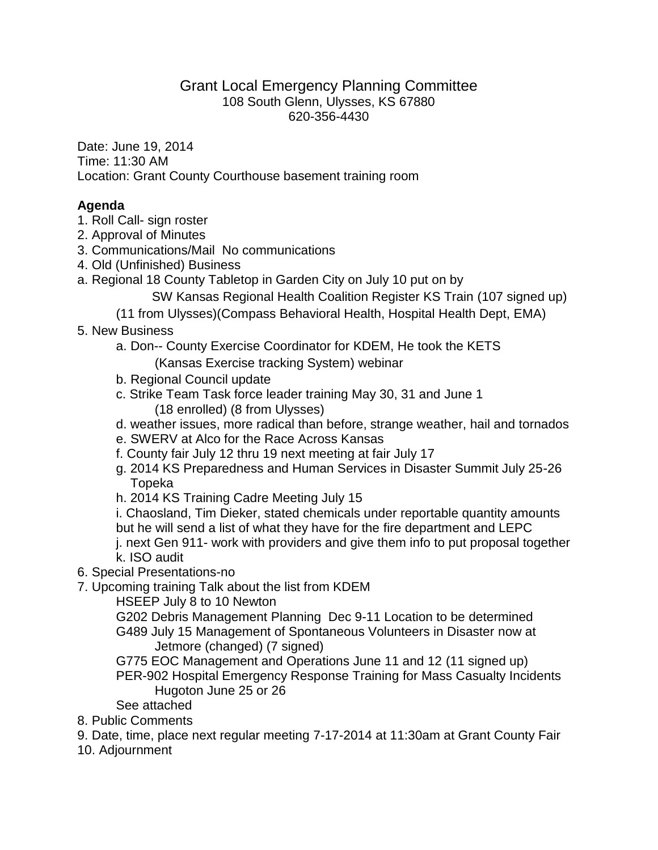## Grant Local Emergency Planning Committee 108 South Glenn, Ulysses, KS 67880 620-356-4430

Date: June 19, 2014 Time: 11:30 AM Location: Grant County Courthouse basement training room

## **Agenda**

- 1. Roll Call- sign roster
- 2. Approval of Minutes
- 3. Communications/Mail No communications
- 4. Old (Unfinished) Business
- a. Regional 18 County Tabletop in Garden City on July 10 put on by
	- SW Kansas Regional Health Coalition Register KS Train (107 signed up)
	- (11 from Ulysses)(Compass Behavioral Health, Hospital Health Dept, EMA)
- 5. New Business

a. Don-- County Exercise Coordinator for KDEM, He took the KETS

- (Kansas Exercise tracking System) webinar
- b. Regional Council update
- c. Strike Team Task force leader training May 30, 31 and June 1 (18 enrolled) (8 from Ulysses)
- d. weather issues, more radical than before, strange weather, hail and tornados
- e. SWERV at Alco for the Race Across Kansas
- f. County fair July 12 thru 19 next meeting at fair July 17
- g. 2014 KS Preparedness and Human Services in Disaster Summit July 25-26 Topeka
- h. 2014 KS Training Cadre Meeting July 15

i. Chaosland, Tim Dieker, stated chemicals under reportable quantity amounts but he will send a list of what they have for the fire department and LEPC

- j. next Gen 911- work with providers and give them info to put proposal together k. ISO audit
- 6. Special Presentations-no
- 7. Upcoming training Talk about the list from KDEM

HSEEP July 8 to 10 Newton

G202 Debris Management Planning Dec 9-11 Location to be determined G489 July 15 Management of Spontaneous Volunteers in Disaster now at Jetmore (changed) (7 signed)

G775 EOC Management and Operations June 11 and 12 (11 signed up) PER-902 Hospital Emergency Response Training for Mass Casualty Incidents Hugoton June 25 or 26

- See attached
- 8. Public Comments
- 9. Date, time, place next regular meeting 7-17-2014 at 11:30am at Grant County Fair
- 10. Adjournment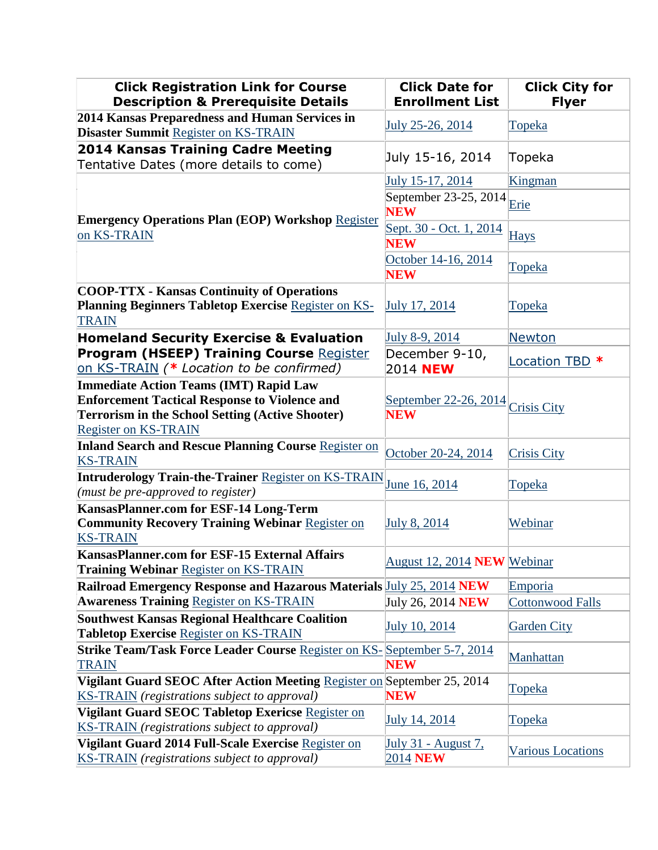| <b>Click Registration Link for Course</b><br><b>Description &amp; Prerequisite Details</b>                                                                                                      | <b>Click Date for</b><br><b>Enrollment List</b> | <b>Click City for</b><br><b>Flyer</b> |
|-------------------------------------------------------------------------------------------------------------------------------------------------------------------------------------------------|-------------------------------------------------|---------------------------------------|
| 2014 Kansas Preparedness and Human Services in<br><b>Disaster Summit Register on KS-TRAIN</b>                                                                                                   | July 25-26, 2014                                | <b>Topeka</b>                         |
| <b>2014 Kansas Training Cadre Meeting</b><br>Tentative Dates (more details to come)                                                                                                             | July 15-16, 2014                                | Topeka                                |
|                                                                                                                                                                                                 | July 15-17, 2014                                | Kingman                               |
| <b>Emergency Operations Plan (EOP) Workshop Register</b><br>on KS-TRAIN                                                                                                                         | September 23-25, 2014<br><b>NEW</b>             | Erie                                  |
|                                                                                                                                                                                                 | Sept. 30 - Oct. 1, 2014<br><b>NEW</b>           | <b>Hays</b>                           |
|                                                                                                                                                                                                 | October 14-16, 2014<br><b>NEW</b>               | <b>Topeka</b>                         |
| <b>COOP-TTX - Kansas Continuity of Operations</b><br><b>Planning Beginners Tabletop Exercise Register on KS-</b><br><b>TRAIN</b>                                                                | <b>July 17, 2014</b>                            | <u>Topeka</u>                         |
| <b>Homeland Security Exercise &amp; Evaluation</b>                                                                                                                                              | July 8-9, 2014                                  | Newton                                |
| <b>Program (HSEEP) Training Course Register</b><br>on KS-TRAIN (* Location to be confirmed)                                                                                                     | December 9-10,<br>2014 NEW                      | Location TBD *                        |
| <b>Immediate Action Teams (IMT) Rapid Law</b><br><b>Enforcement Tactical Response to Violence and</b><br><b>Terrorism in the School Setting (Active Shooter)</b><br><b>Register on KS-TRAIN</b> | September 22-26, 2014 Crisis City<br><b>NEW</b> |                                       |
| <b>Inland Search and Rescue Planning Course Register on</b><br><b>KS-TRAIN</b>                                                                                                                  | October 20-24, 2014                             | <b>Crisis City</b>                    |
| <b>Intruderology Train-the-Trainer Register on KS-TRAIN</b><br>(must be pre-approved to register)                                                                                               | June 16, 2014                                   | <b>Topeka</b>                         |
| <b>KansasPlanner.com for ESF-14 Long-Term</b><br><b>Community Recovery Training Webinar Register on</b><br><b>KS-TRAIN</b>                                                                      | July 8, 2014                                    | Webinar                               |
| <b>KansasPlanner.com for ESF-15 External Affairs</b><br><b>Training Webinar Register on KS-TRAIN</b>                                                                                            | August 12, 2014 <b>NEW</b> Webinar              |                                       |
| <b>Railroad Emergency Response and Hazarous Materials July 25, 2014 NEW</b>                                                                                                                     |                                                 | Emporia                               |
| <b>Awareness Training Register on KS-TRAIN</b>                                                                                                                                                  | July 26, 2014 <b>NEW</b>                        | <b>Cottonwood Falls</b>               |
| <b>Southwest Kansas Regional Healthcare Coalition</b><br><b>Tabletop Exercise Register on KS-TRAIN</b>                                                                                          | July 10, 2014                                   | <b>Garden City</b>                    |
| <b>Strike Team/Task Force Leader Course Register on KS-September 5-7, 2014</b><br><b>TRAIN</b>                                                                                                  | <b>NEW</b>                                      | Manhattan                             |
| Vigilant Guard SEOC After Action Meeting Register on September 25, 2014<br><b>KS-TRAIN</b> (registrations subject to approval)                                                                  | <b>NEW</b>                                      | <b>Topeka</b>                         |
| Vigilant Guard SEOC Tabletop Exericse Register on<br><b>KS-TRAIN</b> (registrations subject to approval)                                                                                        | July 14, 2014                                   | <b>Topeka</b>                         |
| Vigilant Guard 2014 Full-Scale Exercise Register on<br><b>KS-TRAIN</b> (registrations subject to approval)                                                                                      | <u> July 31 - August 7,</u><br>2014 NEW         | <b>Various Locations</b>              |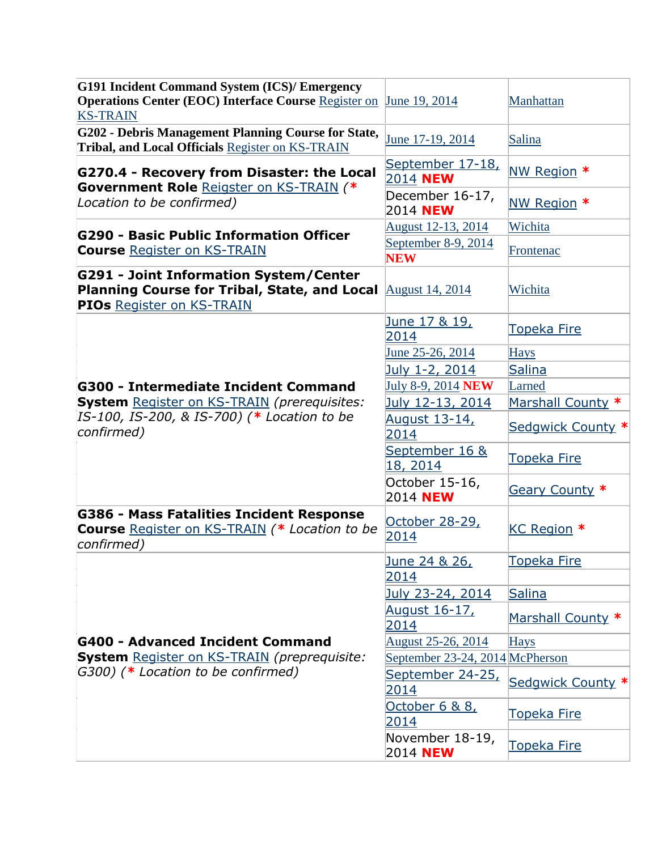| <b>G191 Incident Command System (ICS)/ Emergency</b><br><b>Operations Center (EOC) Interface Course Register on</b><br><b>KS-TRAIN</b> | June 19, 2014                       | Manhattan          |
|----------------------------------------------------------------------------------------------------------------------------------------|-------------------------------------|--------------------|
| G202 - Debris Management Planning Course for State,<br>Tribal, and Local Officials Register on KS-TRAIN                                | June 17-19, 2014                    | Salina             |
| G270.4 - Recovery from Disaster: the Local<br>Government Role Reigster on KS-TRAIN (*<br>Location to be confirmed)                     | September 17-18,<br>2014 <b>NEW</b> | NW Region *        |
|                                                                                                                                        | December 16-17,<br>2014 NEW         | NW Region *        |
|                                                                                                                                        | August 12-13, 2014                  | Wichita            |
| G290 - Basic Public Information Officer<br><b>Course Register on KS-TRAIN</b>                                                          | September 8-9, 2014<br><b>NEW</b>   | Frontenac          |
| G291 - Joint Information System/Center<br>Planning Course for Tribal, State, and Local<br>PIOs Register on KS-TRAIN                    | August 14, 2014                     | Wichita            |
|                                                                                                                                        | June 17 & 19,<br>2014               | Topeka Fire        |
|                                                                                                                                        | June 25-26, 2014                    | <b>Hays</b>        |
|                                                                                                                                        | July 1-2, 2014                      | <b>Salina</b>      |
| G300 - Intermediate Incident Command                                                                                                   | July 8-9, 2014 <b>NEW</b>           | Larned             |
| <b>System</b> Register on KS-TRAIN (prerequisites:                                                                                     | July 12-13, 2014                    | Marshall County *  |
| IS-100, IS-200, & IS-700) (* Location to be<br>confirmed)                                                                              | August 13-14,<br>2014               | Sedgwick County *  |
|                                                                                                                                        | September 16 &<br>18, 2014          | <b>Topeka Fire</b> |
|                                                                                                                                        | October 15-16,<br>2014 <b>NEW</b>   | Geary County *     |
| G386 - Mass Fatalities Incident Response<br>Course Register on KS-TRAIN (* Location to be<br>confirmed)                                | October 28-29,<br>2014              | KC Region *        |
| G400 - Advanced Incident Command<br><b>System</b> Register on KS-TRAIN (preprequisite:<br>G300) (* Location to be confirmed)           | June 24 & 26,                       | Topeka Fire        |
|                                                                                                                                        | 2014                                |                    |
|                                                                                                                                        | July 23-24, 2014                    | <b>Salina</b>      |
|                                                                                                                                        | August 16-17,<br>2014               | Marshall County *  |
|                                                                                                                                        | August 25-26, 2014                  | <b>Hays</b>        |
|                                                                                                                                        | September 23-24, 2014 McPherson     |                    |
|                                                                                                                                        | September 24-25,<br>2014            | Sedgwick County *  |
|                                                                                                                                        | October 6 & 8,<br>2014              | Topeka Fire        |
|                                                                                                                                        | November 18-19,<br>2014 <b>NEW</b>  | Topeka Fire        |